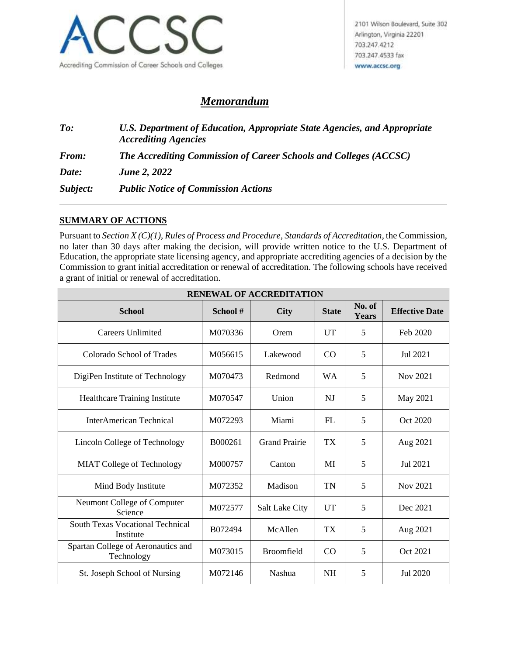

## *Memorandum*

*To: U.S. Department of Education, Appropriate State Agencies, and Appropriate Accrediting Agencies From: The Accrediting Commission of Career Schools and Colleges (ACCSC) Date: June 2, 2022 Subject: Public Notice of Commission Actions*

## **SUMMARY OF ACTIONS**

Pursuant to *Section X (C)(1), Rules of Process and Procedure*, *Standards of Accreditation*, the Commission, no later than 30 days after making the decision, will provide written notice to the U.S. Department of Education, the appropriate state licensing agency, and appropriate accrediting agencies of a decision by the Commission to grant initial accreditation or renewal of accreditation. The following schools have received a grant of initial or renewal of accreditation.

| <b>RENEWAL OF ACCREDITATION</b>                      |                    |                       |           |                 |                       |  |  |
|------------------------------------------------------|--------------------|-----------------------|-----------|-----------------|-----------------------|--|--|
| <b>School</b>                                        | School#            | <b>City</b>           |           | No. of<br>Years | <b>Effective Date</b> |  |  |
| Careers Unlimited                                    | M070336            | Orem                  |           | 5               | Feb 2020              |  |  |
| Colorado School of Trades                            | M056615            | Lakewood              |           | 5               | Jul 2021              |  |  |
| DigiPen Institute of Technology                      | M070473            | Redmond               | <b>WA</b> | 5               | Nov 2021              |  |  |
| Healthcare Training Institute                        | M070547            | Union                 | NJ        | 5               | May 2021              |  |  |
| <b>InterAmerican Technical</b>                       | M072293            | Miami                 | FI.       | 5               | Oct 2020              |  |  |
| Lincoln College of Technology                        | B000261            | <b>Grand Prairie</b>  | <b>TX</b> | 5               | Aug 2021              |  |  |
| <b>MIAT College of Technology</b>                    | M000757            | Canton                | MI        | 5               | Jul 2021              |  |  |
| Mind Body Institute                                  | M072352            | Madison               | TN        | 5               | Nov 2021              |  |  |
| Neumont College of Computer<br>Science               | M072577            | <b>Salt Lake City</b> | <b>UT</b> | 5               | Dec 2021              |  |  |
| <b>South Texas Vocational Technical</b><br>Institute | B072494<br>McAllen |                       | <b>TX</b> | 5               | Aug 2021              |  |  |
| Spartan College of Aeronautics and<br>Technology     | M073015            | <b>Broomfield</b>     | CO        | 5               | Oct 2021              |  |  |
| St. Joseph School of Nursing                         | M072146            | Nashua                | <b>NH</b> | 5               | Jul 2020              |  |  |